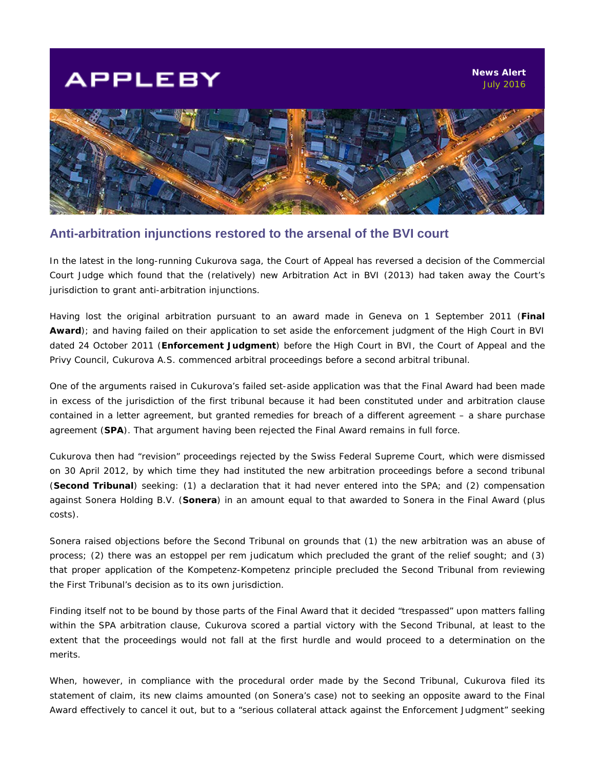## **APPLEBY**



## **Anti-arbitration injunctions restored to the arsenal of the BVI court**

In the latest in the long-running Cukurova saga, the Court of Appeal has reversed a decision of the Commercial Court Judge which found that the (relatively) new Arbitration Act in BVI (2013) had taken away the Court's jurisdiction to grant anti-arbitration injunctions.

Having lost the original arbitration pursuant to an award made in Geneva on 1 September 2011 (**Final Award**); and having failed on their application to set aside the enforcement judgment of the High Court in BVI dated 24 October 2011 (**Enforcement Judgment**) before the High Court in BVI, the Court of Appeal and the Privy Council, Cukurova A.S. commenced arbitral proceedings before a second arbitral tribunal.

One of the arguments raised in Cukurova's failed set-aside application was that the Final Award had been made in excess of the jurisdiction of the first tribunal because it had been constituted under and arbitration clause contained in a letter agreement, but granted remedies for breach of a different agreement – a share purchase agreement (**SPA**). That argument having been rejected the Final Award remains in full force.

Cukurova then had "revision" proceedings rejected by the Swiss Federal Supreme Court, which were dismissed on 30 April 2012, by which time they had instituted the new arbitration proceedings before a second tribunal (**Second Tribunal**) seeking: (1) a declaration that it had never entered into the SPA; and (2) compensation against Sonera Holding B.V. (**Sonera**) in an amount equal to that awarded to Sonera in the Final Award (plus costs).

Sonera raised objections before the Second Tribunal on grounds that (1) the new arbitration was an abuse of process; (2) there was an *estoppel per rem judicatum* which precluded the grant of the relief sought; and (3) that proper application of the *Kompetenz-Kompetenz* principle precluded the Second Tribunal from reviewing the First Tribunal's decision as to its own jurisdiction.

Finding itself not to be bound by those parts of the Final Award that it decided "trespassed" upon matters falling within the SPA arbitration clause, Cukurova scored a partial victory with the Second Tribunal, at least to the extent that the proceedings would not fall at the first hurdle and would proceed to a determination on the merits.

When, however, in compliance with the procedural order made by the Second Tribunal, Cukurova filed its statement of claim, its new claims amounted (on Sonera's case) not to seeking an opposite award to the Final Award effectively to cancel it out, but to a *"serious collateral attack against the Enforcement Judgment"* seeking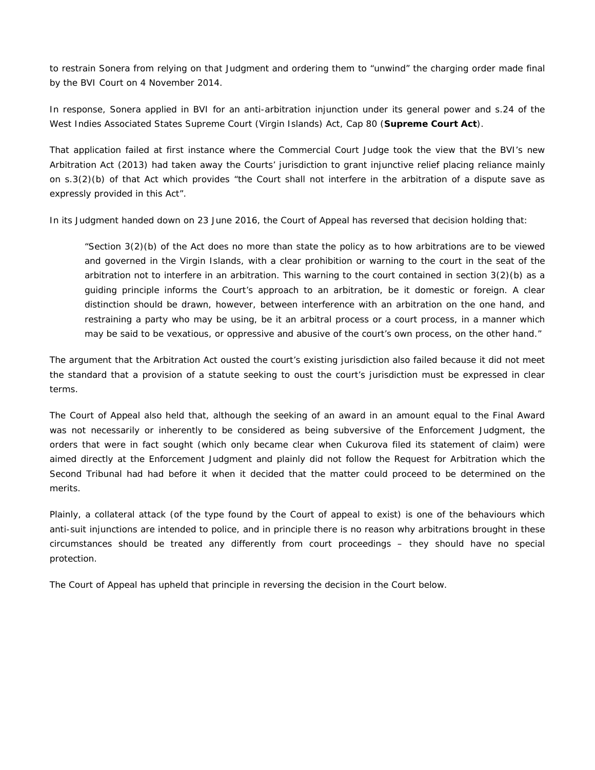to restrain Sonera from relying on that Judgment and ordering them to "unwind" the charging order made final by the BVI Court on 4 November 2014.

In response, Sonera applied in BVI for an anti-arbitration injunction under its general power and s.24 of the West Indies Associated States Supreme Court (Virgin Islands) Act, Cap 80 (**Supreme Court Act**).

That application failed at first instance where the Commercial Court Judge took the view that the BVI's new Arbitration Act (2013) had taken away the Courts' jurisdiction to grant injunctive relief placing reliance mainly on s.3(2)(b) of that Act which provides *"the Court shall not interfere in the arbitration of a dispute save as expressly provided in this Act".*

In its Judgment handed down on 23 June 2016, the Court of Appeal has reversed that decision holding that:

*"Section 3(2)(b) of the Act does no more than state the policy as to how arbitrations are to be viewed and governed in the Virgin Islands, with a clear prohibition or warning to the court in the seat of the arbitration not to interfere in an arbitration. This warning to the court contained in section 3(2)(b) as a guiding principle informs the Court's approach to an arbitration, be it domestic or foreign. A clear distinction should be drawn, however, between interference with an arbitration on the one hand, and restraining a party who may be using, be it an arbitral process or a court process, in a manner which may be said to be vexatious, or oppressive and abusive of the court's own process, on the other hand."*

The argument that the Arbitration Act ousted the court's existing jurisdiction also failed because it did not meet the standard that a provision of a statute seeking to oust the court's jurisdiction must be expressed in clear terms.

The Court of Appeal also held that, although the seeking of an award in an amount equal to the Final Award was not necessarily or inherently to be considered as being subversive of the Enforcement Judgment, the orders that were in fact sought (which only became clear when Cukurova filed its statement of claim) were aimed directly at the Enforcement Judgment and plainly did not follow the Request for Arbitration which the Second Tribunal had had before it when it decided that the matter could proceed to be determined on the merits.

Plainly, a collateral attack (of the type found by the Court of appeal to exist) is one of the behaviours which anti-suit injunctions are intended to police, and in principle there is no reason why arbitrations brought in these circumstances should be treated any differently from court proceedings – they should have no special protection.

The Court of Appeal has upheld that principle in reversing the decision in the Court below.